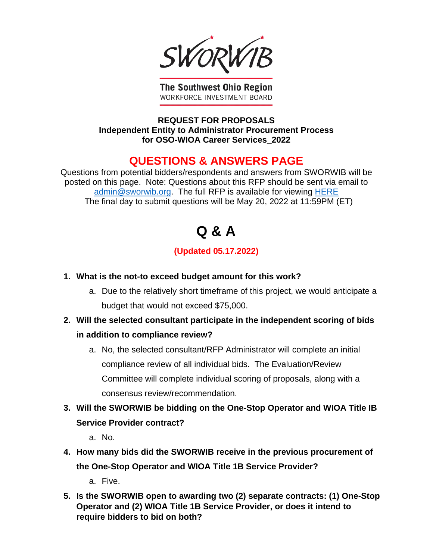SWORI

**The Southwest Ohio Region** WORKFORCE INVESTMENT BOARD

**REQUEST FOR PROPOSALS Independent Entity to Administrator Procurement Process for OSO-WIOA Career Services\_2022**

## **QUESTIONS & ANSWERS PAGE**

Questions from potential bidders/respondents and answers from SWORWIB will be posted on this page. Note: Questions about this RFP should be sent via email to [admin@sworwib.org.](mailto:admin@sworwib.org) The full RFP is available for viewing [HERE](https://www.sworwib.org/requests-for-proposals/) The final day to submit questions will be May 20, 2022 at 11:59PM (ET)

## **Q & A**

## **(Updated 05.17.2022)**

- **1. What is the not-to exceed budget amount for this work?** 
	- a. Due to the relatively short timeframe of this project, we would anticipate a budget that would not exceed \$75,000.
- **2. Will the selected consultant participate in the independent scoring of bids in addition to compliance review?** 
	- a. No, the selected consultant/RFP Administrator will complete an initial compliance review of all individual bids. The Evaluation/Review Committee will complete individual scoring of proposals, along with a consensus review/recommendation.
- **3. Will the SWORWIB be bidding on the One-Stop Operator and WIOA Title IB Service Provider contract?** 
	- a. No.
- **4. How many bids did the SWORWIB receive in the previous procurement of the One-Stop Operator and WIOA Title 1B Service Provider?** 
	- a. Five.
- **5. Is the SWORWIB open to awarding two (2) separate contracts: (1) One-Stop Operator and (2) WIOA Title 1B Service Provider, or does it intend to require bidders to bid on both?**